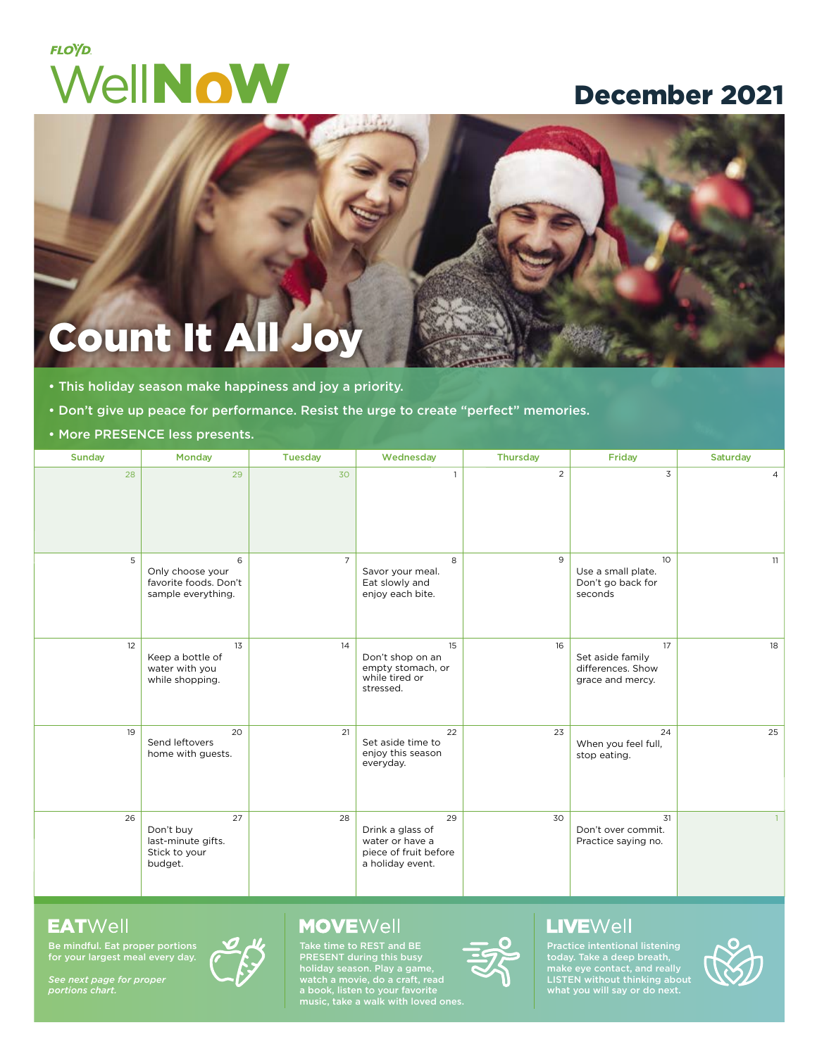# **FLOYD.** WellNoW December 2021

# Count It A

- This holiday season make happiness and joy a priority.
- Don't give up peace for performance. Resist the urge to create "perfect" memories.
- More PRESENCE less presents.

| Sunday | Monday                                                               | <b>Tuesday</b> | Wednesday                                                                              | <b>Thursday</b> | Friday                                                                | Saturday       |
|--------|----------------------------------------------------------------------|----------------|----------------------------------------------------------------------------------------|-----------------|-----------------------------------------------------------------------|----------------|
| 28     | 29                                                                   | 30             | $\mathbf{1}$                                                                           | $\overline{2}$  | $\overline{3}$                                                        | $\overline{4}$ |
| 5      | 6<br>Only choose your<br>favorite foods. Don't<br>sample everything. | $\overline{7}$ | 8<br>Savor your meal.<br>Eat slowly and<br>enjoy each bite.                            | 9               | 10 <sup>°</sup><br>Use a small plate.<br>Don't go back for<br>seconds | 11             |
| 12     | 13<br>Keep a bottle of<br>water with you<br>while shopping.          | 14             | 15<br>Don't shop on an<br>empty stomach, or<br>while tired or<br>stressed.             | 16              | 17<br>Set aside family<br>differences. Show<br>grace and mercy.       | 18             |
| 19     | 20<br>Send leftovers<br>home with guests.                            | 21             | 22<br>Set aside time to<br>enjoy this season<br>everyday.                              | 23              | 24<br>When you feel full,<br>stop eating.                             | 25             |
| 26     | 27<br>Don't buy<br>last-minute gifts.<br>Stick to your<br>budget.    | 28             | 29<br>Drink a glass of<br>water or have a<br>piece of fruit before<br>a holiday event. | 30              | 31<br>Don't over commit.<br>Practice saying no.                       |                |

#### **EATWell**

Be mindful. Eat proper portions for your largest meal every day.

*See next page for proper portions chart.*



#### **MOVE**Well

Take time to REST and BE PRESENT during this busy holiday season. Play a game, watch a movie, do a craft, read a book, listen to your favorite music, take a walk with loved ones.



### **LIVE**Well

Practice intentional listening today. Take a deep breath, LISTEN without thinking about what you will say or do next.